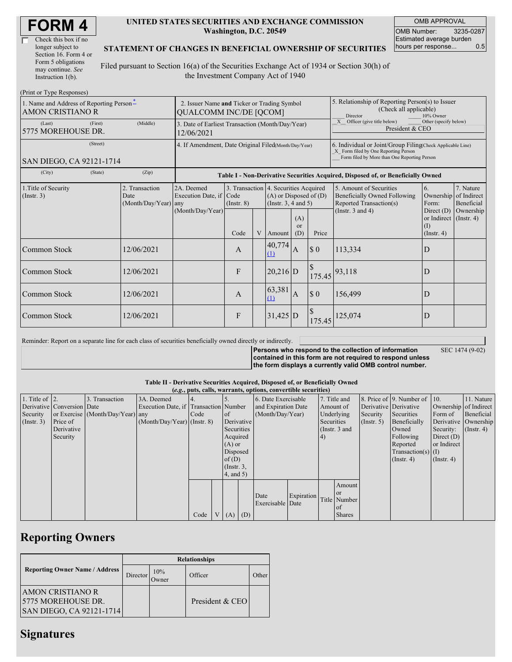| Check this box if no  |
|-----------------------|
| longer subject to     |
| Section 16. Form 4 or |
| Form 5 obligations    |
| may continue. See     |
| Instruction $1(b)$ .  |

### **UNITED STATES SECURITIES AND EXCHANGE COMMISSION Washington, D.C. 20549**

OMB APPROVAL OMB Number: 3235-0287 Estimated average burden hours per response... 0.5

## **STATEMENT OF CHANGES IN BENEFICIAL OWNERSHIP OF SECURITIES**

Filed pursuant to Section 16(a) of the Securities Exchange Act of 1934 or Section 30(h) of the Investment Company Act of 1940

| (Print or Type Responses)                                           |                                                                              |                                                                                  |                                                                  |   |                                                                  |                         |                                                                                                                                                    |                                                                                                             |                                                                                                           |                                      |
|---------------------------------------------------------------------|------------------------------------------------------------------------------|----------------------------------------------------------------------------------|------------------------------------------------------------------|---|------------------------------------------------------------------|-------------------------|----------------------------------------------------------------------------------------------------------------------------------------------------|-------------------------------------------------------------------------------------------------------------|-----------------------------------------------------------------------------------------------------------|--------------------------------------|
| 1. Name and Address of Reporting Person-<br><b>AMON CRISTIANO R</b> | 2. Issuer Name and Ticker or Trading Symbol<br><b>QUALCOMM INC/DE [QCOM]</b> |                                                                                  |                                                                  |   |                                                                  |                         | 5. Relationship of Reporting Person(s) to Issuer<br>(Check all applicable)<br>Director<br>10% Owner                                                |                                                                                                             |                                                                                                           |                                      |
| (Last)<br>(First)<br>5775 MOREHOUSE DR.                             | 3. Date of Earliest Transaction (Month/Day/Year)<br>12/06/2021               |                                                                                  |                                                                  |   |                                                                  |                         | X<br>Officer (give title below)<br>Other (specify below)<br>President & CEO                                                                        |                                                                                                             |                                                                                                           |                                      |
| (Street)<br>SAN DIEGO, CA 92121-1714                                | 4. If Amendment, Date Original Filed Month/Day/Year)                         |                                                                                  |                                                                  |   |                                                                  |                         | 6. Individual or Joint/Group Filing(Check Applicable Line)<br>X Form filed by One Reporting Person<br>Form filed by More than One Reporting Person |                                                                                                             |                                                                                                           |                                      |
| (City)<br>(State)                                                   | (Zip)                                                                        | Table I - Non-Derivative Securities Acquired, Disposed of, or Beneficially Owned |                                                                  |   |                                                                  |                         |                                                                                                                                                    |                                                                                                             |                                                                                                           |                                      |
| 1. Title of Security<br>$($ Instr. 3 $)$                            | 2. Transaction<br>Date<br>(Month/Day/Year) any                               | 2A. Deemed<br>Execution Date, if Code<br>(Month/Day/Year)                        | 3. Transaction 4. Securities Acquired<br>$($ Instr. $8)$<br>Code | V | $(A)$ or Disposed of $(D)$<br>(Instr. $3, 4$ and $5$ )<br>Amount | (A)<br><b>or</b><br>(D) | Price                                                                                                                                              | 5. Amount of Securities<br>Beneficially Owned Following<br>Reported Transaction(s)<br>(Instr. $3$ and $4$ ) | 6.<br>Ownership of Indirect<br>Form:<br>Direct $(D)$<br>or Indirect (Instr. 4)<br>(1)<br>$($ Instr. 4 $)$ | 7. Nature<br>Beneficial<br>Ownership |
| Common Stock                                                        | 12/06/2021                                                                   |                                                                                  | A                                                                |   | 40,774<br>(1)                                                    | <b>A</b>                | \$0                                                                                                                                                | 113,334                                                                                                     | D                                                                                                         |                                      |
| Common Stock                                                        | 12/06/2021                                                                   |                                                                                  | F                                                                |   | $20,216$ D                                                       |                         | 175.45                                                                                                                                             | 93,118                                                                                                      | D                                                                                                         |                                      |
| Common Stock                                                        | 12/06/2021                                                                   |                                                                                  | A                                                                |   | 63,381<br>(1)                                                    | IA                      | \$0                                                                                                                                                | 156,499                                                                                                     | D                                                                                                         |                                      |
| Common Stock                                                        | 12/06/2021                                                                   |                                                                                  | F                                                                |   | $31,425$ D                                                       |                         | 175.45                                                                                                                                             | 125,074                                                                                                     | D                                                                                                         |                                      |

Reminder: Report on a separate line for each class of securities beneficially owned directly or indirectly.

**Persons who respond to the collection of information contained in this form are not required to respond unless the form displays a currently valid OMB control number.**

SEC 1474 (9-02)

#### **Table II - Derivative Securities Acquired, Disposed of, or Beneficially Owned**

|                        | (e.g., puts, calls, warrants, options, convertible securities) |                                  |                                       |      |          |                 |            |                     |            |              |                  |                      |                          |                       |               |
|------------------------|----------------------------------------------------------------|----------------------------------|---------------------------------------|------|----------|-----------------|------------|---------------------|------------|--------------|------------------|----------------------|--------------------------|-----------------------|---------------|
| 1. Title of $\vert$ 2. |                                                                | 3. Transaction                   | 3A. Deemed                            |      |          |                 |            | 6. Date Exercisable |            | 7. Title and |                  |                      | 8. Price of 9. Number of | $\vert$ 10.           | 11. Nature    |
|                        | Derivative Conversion Date                                     |                                  | Execution Date, if Transaction Number |      |          |                 |            | and Expiration Date |            | Amount of    |                  |                      | Derivative Derivative    | Ownership of Indirect |               |
| Security               |                                                                | or Exercise (Month/Day/Year) any |                                       | Code |          | <sub>of</sub>   |            | (Month/Day/Year)    |            | Underlying   |                  | Security             | Securities               | Form of               | Beneficial    |
| (Insert. 3)            | Price of                                                       |                                  | $(Month/Day/Year)$ (Instr. 8)         |      |          |                 | Derivative |                     | Securities |              | $($ Instr. 5 $)$ | Beneficially         |                          | Derivative Ownership  |               |
|                        | Derivative                                                     |                                  |                                       |      |          | Securities      |            |                     |            |              | (Instr. 3 and    |                      | Owned                    | Security:             | $($ Instr. 4) |
|                        | Security                                                       |                                  |                                       |      |          | Acquired        |            |                     |            | 4)           |                  |                      | Following                | Direct $(D)$          |               |
|                        |                                                                |                                  |                                       |      | $(A)$ or |                 |            |                     |            |              |                  | Reported             | or Indirect              |                       |               |
|                        |                                                                |                                  |                                       |      | Disposed |                 |            |                     |            |              |                  | $Transaction(s)$ (I) |                          |                       |               |
|                        |                                                                |                                  |                                       |      | of $(D)$ |                 |            |                     |            |              |                  |                      | $($ Instr. 4 $)$         | $($ Instr. 4 $)$      |               |
|                        |                                                                |                                  |                                       |      |          | $($ Instr. $3,$ |            |                     |            |              |                  |                      |                          |                       |               |
|                        |                                                                |                                  |                                       |      |          | (4, and 5)      |            |                     |            |              |                  |                      |                          |                       |               |
|                        |                                                                |                                  |                                       |      |          |                 |            |                     |            |              | Amount           |                      |                          |                       |               |
|                        |                                                                |                                  |                                       |      |          |                 |            |                     |            |              | <sub>or</sub>    |                      |                          |                       |               |
|                        |                                                                |                                  |                                       |      |          |                 |            | Date                | Expiration |              | Title Number     |                      |                          |                       |               |
|                        |                                                                |                                  |                                       |      |          |                 |            | Exercisable Date    |            |              | of               |                      |                          |                       |               |
|                        |                                                                |                                  |                                       | Code |          | V   (A)   (D)   |            |                     |            |              | <b>Shares</b>    |                      |                          |                       |               |

## **Reporting Owners**

|                                                                           | <b>Relationships</b> |              |                 |       |  |  |  |  |  |
|---------------------------------------------------------------------------|----------------------|--------------|-----------------|-------|--|--|--|--|--|
| <b>Reporting Owner Name / Address</b>                                     | Director             | 10%<br>Jwner | Officer         | Other |  |  |  |  |  |
| <b>AMON CRISTIANO R</b><br>5775 MOREHOUSE DR.<br>SAN DIEGO, CA 92121-1714 |                      |              | President & CEO |       |  |  |  |  |  |

## **Signatures**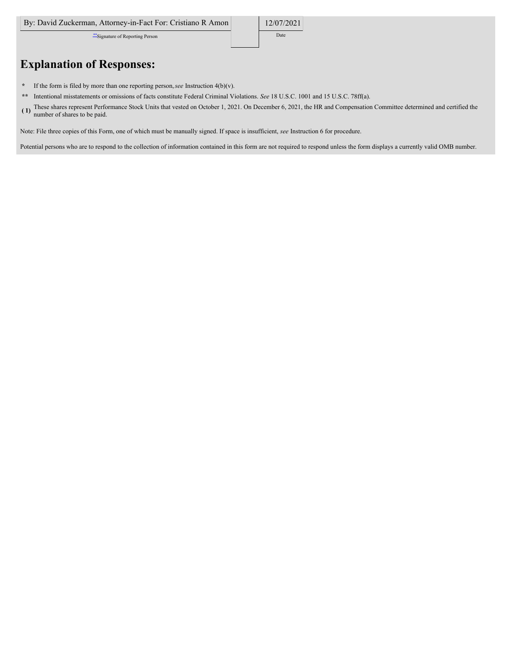\*\*Signature of Reporting Person Date

# **Explanation of Responses:**

- **\*** If the form is filed by more than one reporting person,*see* Instruction 4(b)(v).
- **\*\*** Intentional misstatements or omissions of facts constitute Federal Criminal Violations. *See* 18 U.S.C. 1001 and 15 U.S.C. 78ff(a).
- **( 1)** These shares represent Performance Stock Units that vested on October 1, 2021. On December 6, 2021, the HR and Compensation Committee determined and certified the number of shares to be paid.

Note: File three copies of this Form, one of which must be manually signed. If space is insufficient, *see* Instruction 6 for procedure.

Potential persons who are to respond to the collection of information contained in this form are not required to respond unless the form displays a currently valid OMB number.